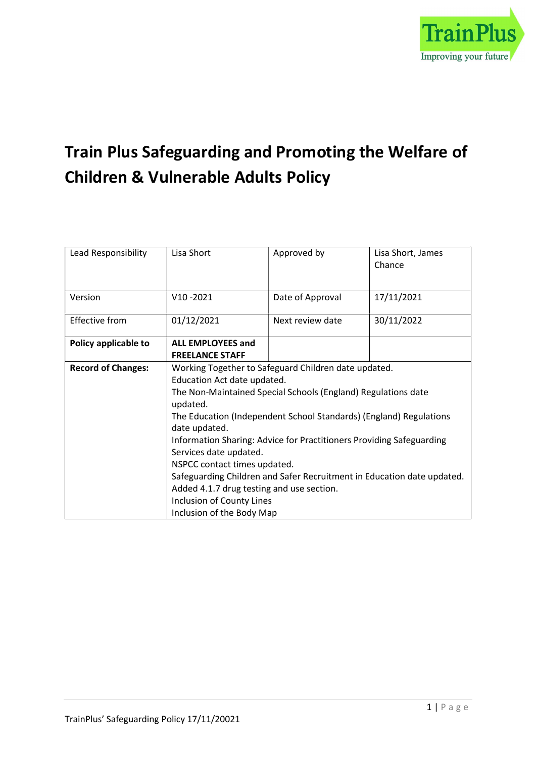

# Train Plus Safeguarding and Promoting the Welfare of Children & Vulnerable Adults Policy

| Lead Responsibility       | Lisa Short                                                                                                                                                                                                                | Approved by                                                                                                                                                                                                                                                                                                                                   | Lisa Short, James<br>Chance |
|---------------------------|---------------------------------------------------------------------------------------------------------------------------------------------------------------------------------------------------------------------------|-----------------------------------------------------------------------------------------------------------------------------------------------------------------------------------------------------------------------------------------------------------------------------------------------------------------------------------------------|-----------------------------|
| Version                   | $V10 - 2021$                                                                                                                                                                                                              | Date of Approval                                                                                                                                                                                                                                                                                                                              | 17/11/2021                  |
| <b>Effective from</b>     | 01/12/2021                                                                                                                                                                                                                | Next review date                                                                                                                                                                                                                                                                                                                              | 30/11/2022                  |
| Policy applicable to      | <b>ALL EMPLOYEES and</b><br><b>FREELANCE STAFF</b>                                                                                                                                                                        |                                                                                                                                                                                                                                                                                                                                               |                             |
| <b>Record of Changes:</b> | Education Act date updated.<br>updated.<br>date updated.<br>Services date updated.<br>NSPCC contact times updated.<br>Added 4.1.7 drug testing and use section.<br>Inclusion of County Lines<br>Inclusion of the Body Map | Working Together to Safeguard Children date updated.<br>The Non-Maintained Special Schools (England) Regulations date<br>The Education (Independent School Standards) (England) Regulations<br>Information Sharing: Advice for Practitioners Providing Safeguarding<br>Safeguarding Children and Safer Recruitment in Education date updated. |                             |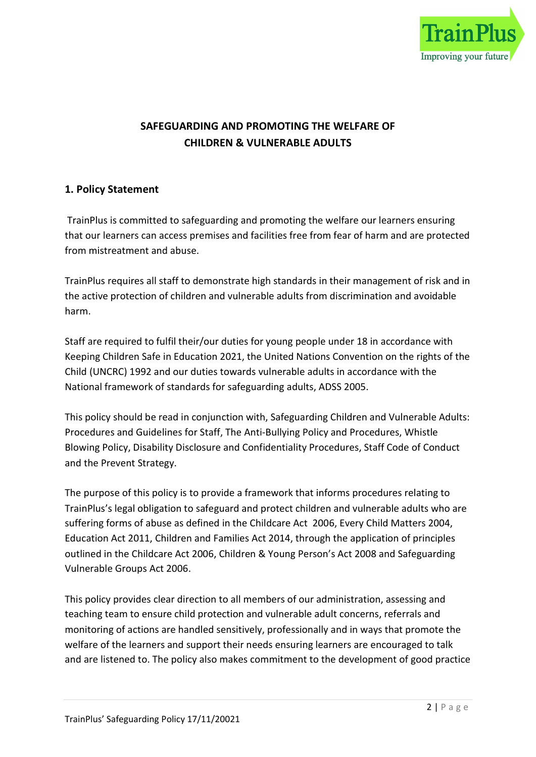

# SAFEGUARDING AND PROMOTING THE WELFARE OF CHILDREN & VULNERABLE ADULTS

# 1. Policy Statement

 TrainPlus is committed to safeguarding and promoting the welfare our learners ensuring that our learners can access premises and facilities free from fear of harm and are protected from mistreatment and abuse.

TrainPlus requires all staff to demonstrate high standards in their management of risk and in the active protection of children and vulnerable adults from discrimination and avoidable harm.

Staff are required to fulfil their/our duties for young people under 18 in accordance with Keeping Children Safe in Education 2021, the United Nations Convention on the rights of the Child (UNCRC) 1992 and our duties towards vulnerable adults in accordance with the National framework of standards for safeguarding adults, ADSS 2005.

This policy should be read in conjunction with, Safeguarding Children and Vulnerable Adults: Procedures and Guidelines for Staff, The Anti-Bullying Policy and Procedures, Whistle Blowing Policy, Disability Disclosure and Confidentiality Procedures, Staff Code of Conduct and the Prevent Strategy.

The purpose of this policy is to provide a framework that informs procedures relating to TrainPlus's legal obligation to safeguard and protect children and vulnerable adults who are suffering forms of abuse as defined in the Childcare Act 2006, Every Child Matters 2004, Education Act 2011, Children and Families Act 2014, through the application of principles outlined in the Childcare Act 2006, Children & Young Person's Act 2008 and Safeguarding Vulnerable Groups Act 2006.

This policy provides clear direction to all members of our administration, assessing and teaching team to ensure child protection and vulnerable adult concerns, referrals and monitoring of actions are handled sensitively, professionally and in ways that promote the welfare of the learners and support their needs ensuring learners are encouraged to talk and are listened to. The policy also makes commitment to the development of good practice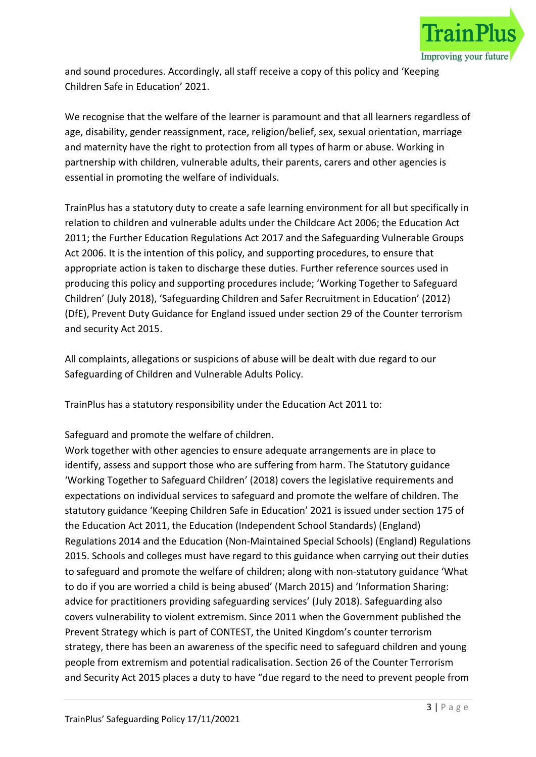

and sound procedures. Accordingly, all staff receive a copy of this policy and 'Keeping Children Safe in Education' 2021.

We recognise that the welfare of the learner is paramount and that all learners regardless of age, disability, gender reassignment, race, religion/belief, sex, sexual orientation, marriage and maternity have the right to protection from all types of harm or abuse. Working in partnership with children, vulnerable adults, their parents, carers and other agencies is essential in promoting the welfare of individuals.

TrainPlus has a statutory duty to create a safe learning environment for all but specifically in relation to children and vulnerable adults under the Childcare Act 2006; the Education Act 2011; the Further Education Regulations Act 2017 and the Safeguarding Vulnerable Groups Act 2006. It is the intention of this policy, and supporting procedures, to ensure that appropriate action is taken to discharge these duties. Further reference sources used in producing this policy and supporting procedures include; 'Working Together to Safeguard Children' (July 2018), 'Safeguarding Children and Safer Recruitment in Education' (2012) (DfE), Prevent Duty Guidance for England issued under section 29 of the Counter terrorism and security Act 2015.

All complaints, allegations or suspicions of abuse will be dealt with due regard to our Safeguarding of Children and Vulnerable Adults Policy.

TrainPlus has a statutory responsibility under the Education Act 2011 to:

Safeguard and promote the welfare of children.

Work together with other agencies to ensure adequate arrangements are in place to identify, assess and support those who are suffering from harm. The Statutory guidance 'Working Together to Safeguard Children' (2018) covers the legislative requirements and expectations on individual services to safeguard and promote the welfare of children. The statutory guidance 'Keeping Children Safe in Education' 2021 is issued under section 175 of the Education Act 2011, the Education (Independent School Standards) (England) Regulations 2014 and the Education (Non-Maintained Special Schools) (England) Regulations 2015. Schools and colleges must have regard to this guidance when carrying out their duties to safeguard and promote the welfare of children; along with non-statutory guidance 'What to do if you are worried a child is being abused' (March 2015) and 'Information Sharing: advice for practitioners providing safeguarding services' (July 2018). Safeguarding also covers vulnerability to violent extremism. Since 2011 when the Government published the Prevent Strategy which is part of CONTEST, the United Kingdom's counter terrorism strategy, there has been an awareness of the specific need to safeguard children and young people from extremism and potential radicalisation. Section 26 of the Counter Terrorism and Security Act 2015 places a duty to have "due regard to the need to prevent people from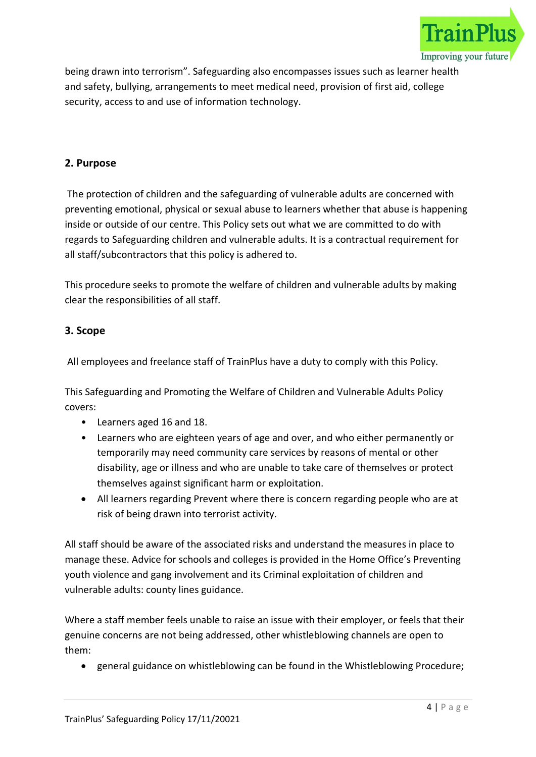

being drawn into terrorism". Safeguarding also encompasses issues such as learner health and safety, bullying, arrangements to meet medical need, provision of first aid, college security, access to and use of information technology.

# 2. Purpose

 The protection of children and the safeguarding of vulnerable adults are concerned with preventing emotional, physical or sexual abuse to learners whether that abuse is happening inside or outside of our centre. This Policy sets out what we are committed to do with regards to Safeguarding children and vulnerable adults. It is a contractual requirement for all staff/subcontractors that this policy is adhered to.

This procedure seeks to promote the welfare of children and vulnerable adults by making clear the responsibilities of all staff.

# 3. Scope

All employees and freelance staff of TrainPlus have a duty to comply with this Policy.

This Safeguarding and Promoting the Welfare of Children and Vulnerable Adults Policy covers:

- Learners aged 16 and 18.
- Learners who are eighteen years of age and over, and who either permanently or temporarily may need community care services by reasons of mental or other disability, age or illness and who are unable to take care of themselves or protect themselves against significant harm or exploitation.
- All learners regarding Prevent where there is concern regarding people who are at risk of being drawn into terrorist activity.

All staff should be aware of the associated risks and understand the measures in place to manage these. Advice for schools and colleges is provided in the Home Office's Preventing youth violence and gang involvement and its Criminal exploitation of children and vulnerable adults: county lines guidance.

Where a staff member feels unable to raise an issue with their employer, or feels that their genuine concerns are not being addressed, other whistleblowing channels are open to them:

general guidance on whistleblowing can be found in the Whistleblowing Procedure;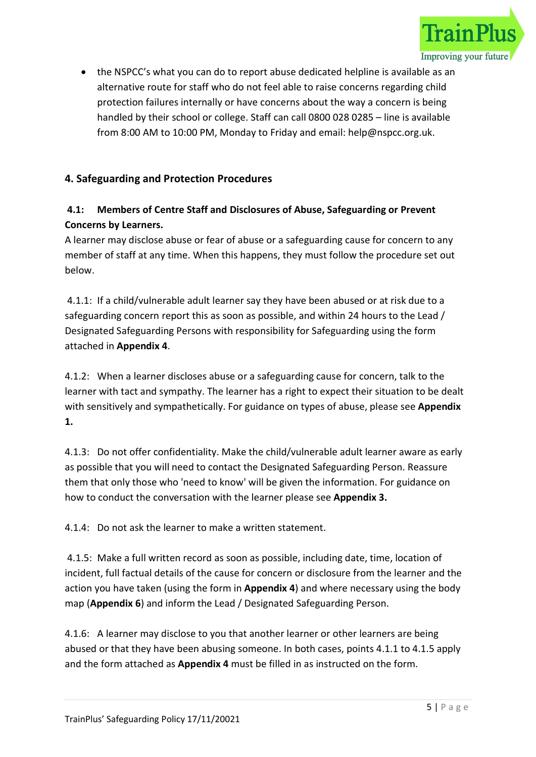

 the NSPCC's what you can do to report abuse dedicated helpline is available as an alternative route for staff who do not feel able to raise concerns regarding child protection failures internally or have concerns about the way a concern is being handled by their school or college. Staff can call 0800 028 0285 – line is available from 8:00 AM to 10:00 PM, Monday to Friday and email: help@nspcc.org.uk.

# 4. Safeguarding and Protection Procedures

# 4.1: Members of Centre Staff and Disclosures of Abuse, Safeguarding or Prevent Concerns by Learners.

A learner may disclose abuse or fear of abuse or a safeguarding cause for concern to any member of staff at any time. When this happens, they must follow the procedure set out below.

 4.1.1: If a child/vulnerable adult learner say they have been abused or at risk due to a safeguarding concern report this as soon as possible, and within 24 hours to the Lead / Designated Safeguarding Persons with responsibility for Safeguarding using the form attached in Appendix 4.

4.1.2: When a learner discloses abuse or a safeguarding cause for concern, talk to the learner with tact and sympathy. The learner has a right to expect their situation to be dealt with sensitively and sympathetically. For guidance on types of abuse, please see Appendix 1.

4.1.3: Do not offer confidentiality. Make the child/vulnerable adult learner aware as early as possible that you will need to contact the Designated Safeguarding Person. Reassure them that only those who 'need to know' will be given the information. For guidance on how to conduct the conversation with the learner please see Appendix 3.

4.1.4: Do not ask the learner to make a written statement.

 4.1.5: Make a full written record as soon as possible, including date, time, location of incident, full factual details of the cause for concern or disclosure from the learner and the action you have taken (using the form in **Appendix 4**) and where necessary using the body map (Appendix 6) and inform the Lead / Designated Safeguarding Person.

4.1.6: A learner may disclose to you that another learner or other learners are being abused or that they have been abusing someone. In both cases, points 4.1.1 to 4.1.5 apply and the form attached as **Appendix 4** must be filled in as instructed on the form.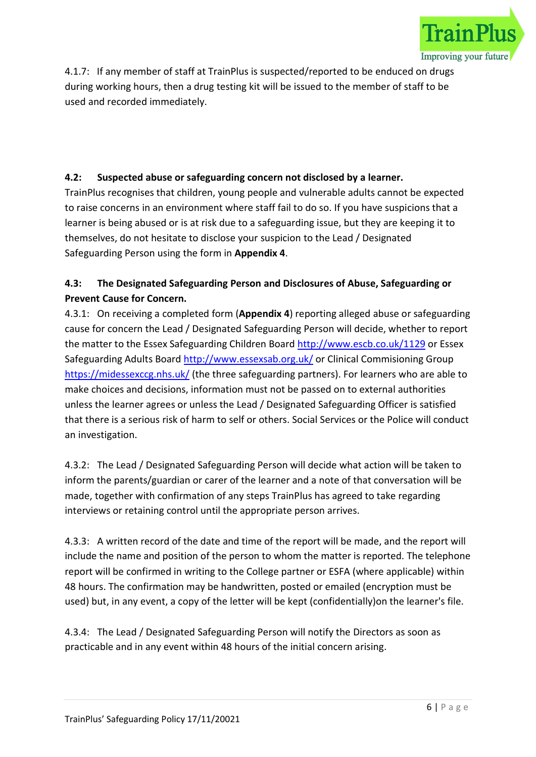

4.1.7: If any member of staff at TrainPlus is suspected/reported to be enduced on drugs during working hours, then a drug testing kit will be issued to the member of staff to be used and recorded immediately.

# 4.2: Suspected abuse or safeguarding concern not disclosed by a learner.

TrainPlus recognises that children, young people and vulnerable adults cannot be expected to raise concerns in an environment where staff fail to do so. If you have suspicions that a learner is being abused or is at risk due to a safeguarding issue, but they are keeping it to themselves, do not hesitate to disclose your suspicion to the Lead / Designated Safeguarding Person using the form in Appendix 4.

# 4.3: The Designated Safeguarding Person and Disclosures of Abuse, Safeguarding or Prevent Cause for Concern.

4.3.1: On receiving a completed form (Appendix 4) reporting alleged abuse or safeguarding cause for concern the Lead / Designated Safeguarding Person will decide, whether to report the matter to the Essex Safeguarding Children Board http://www.escb.co.uk/1129 or Essex Safeguarding Adults Board http://www.essexsab.org.uk/ or Clinical Commisioning Group https://midessexccg.nhs.uk/ (the three safeguarding partners). For learners who are able to make choices and decisions, information must not be passed on to external authorities unless the learner agrees or unless the Lead / Designated Safeguarding Officer is satisfied that there is a serious risk of harm to self or others. Social Services or the Police will conduct an investigation.

4.3.2: The Lead / Designated Safeguarding Person will decide what action will be taken to inform the parents/guardian or carer of the learner and a note of that conversation will be made, together with confirmation of any steps TrainPlus has agreed to take regarding interviews or retaining control until the appropriate person arrives.

4.3.3: A written record of the date and time of the report will be made, and the report will include the name and position of the person to whom the matter is reported. The telephone report will be confirmed in writing to the College partner or ESFA (where applicable) within 48 hours. The confirmation may be handwritten, posted or emailed (encryption must be used) but, in any event, a copy of the letter will be kept (confidentially)on the learner's file.

4.3.4: The Lead / Designated Safeguarding Person will notify the Directors as soon as practicable and in any event within 48 hours of the initial concern arising.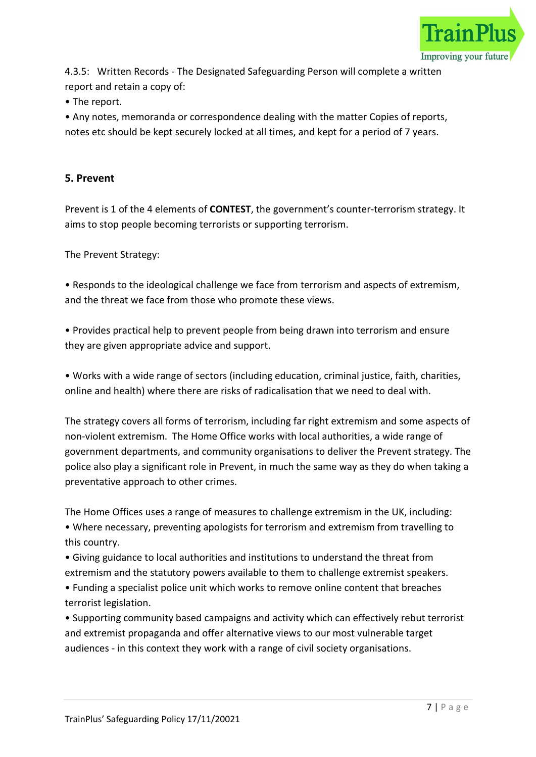

4.3.5: Written Records - The Designated Safeguarding Person will complete a written report and retain a copy of:

• The report.

• Any notes, memoranda or correspondence dealing with the matter Copies of reports, notes etc should be kept securely locked at all times, and kept for a period of 7 years.

# 5. Prevent

Prevent is 1 of the 4 elements of **CONTEST**, the government's counter-terrorism strategy. It aims to stop people becoming terrorists or supporting terrorism.

The Prevent Strategy:

• Responds to the ideological challenge we face from terrorism and aspects of extremism, and the threat we face from those who promote these views.

• Provides practical help to prevent people from being drawn into terrorism and ensure they are given appropriate advice and support.

• Works with a wide range of sectors (including education, criminal justice, faith, charities, online and health) where there are risks of radicalisation that we need to deal with.

The strategy covers all forms of terrorism, including far right extremism and some aspects of non-violent extremism. The Home Office works with local authorities, a wide range of government departments, and community organisations to deliver the Prevent strategy. The police also play a significant role in Prevent, in much the same way as they do when taking a preventative approach to other crimes.

The Home Offices uses a range of measures to challenge extremism in the UK, including: • Where necessary, preventing apologists for terrorism and extremism from travelling to this country.

• Giving guidance to local authorities and institutions to understand the threat from extremism and the statutory powers available to them to challenge extremist speakers.

• Funding a specialist police unit which works to remove online content that breaches terrorist legislation.

• Supporting community based campaigns and activity which can effectively rebut terrorist and extremist propaganda and offer alternative views to our most vulnerable target audiences - in this context they work with a range of civil society organisations.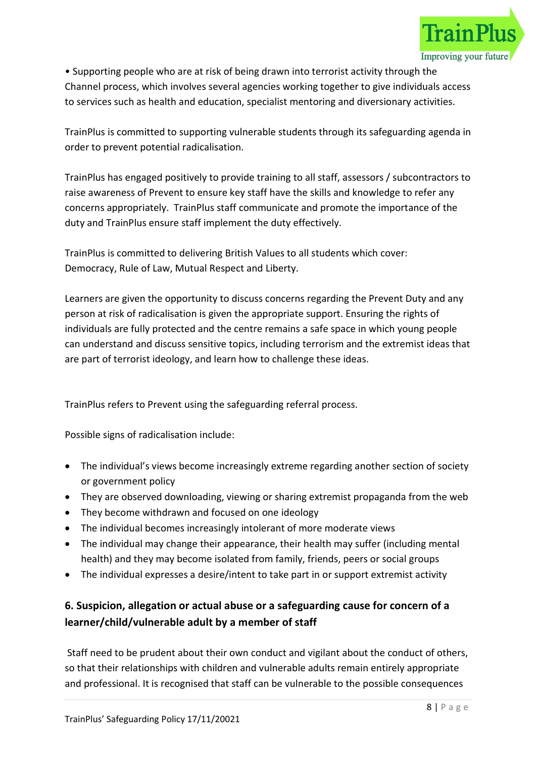

• Supporting people who are at risk of being drawn into terrorist activity through the Channel process, which involves several agencies working together to give individuals access to services such as health and education, specialist mentoring and diversionary activities.

TrainPlus is committed to supporting vulnerable students through its safeguarding agenda in order to prevent potential radicalisation.

TrainPlus has engaged positively to provide training to all staff, assessors / subcontractors to raise awareness of Prevent to ensure key staff have the skills and knowledge to refer any concerns appropriately. TrainPlus staff communicate and promote the importance of the duty and TrainPlus ensure staff implement the duty effectively.

TrainPlus is committed to delivering British Values to all students which cover: Democracy, Rule of Law, Mutual Respect and Liberty.

Learners are given the opportunity to discuss concerns regarding the Prevent Duty and any person at risk of radicalisation is given the appropriate support. Ensuring the rights of individuals are fully protected and the centre remains a safe space in which young people can understand and discuss sensitive topics, including terrorism and the extremist ideas that are part of terrorist ideology, and learn how to challenge these ideas.

TrainPlus refers to Prevent using the safeguarding referral process.

Possible signs of radicalisation include:

- The individual's views become increasingly extreme regarding another section of society or government policy
- They are observed downloading, viewing or sharing extremist propaganda from the web
- They become withdrawn and focused on one ideology
- The individual becomes increasingly intolerant of more moderate views
- The individual may change their appearance, their health may suffer (including mental health) and they may become isolated from family, friends, peers or social groups
- The individual expresses a desire/intent to take part in or support extremist activity

# 6. Suspicion, allegation or actual abuse or a safeguarding cause for concern of a learner/child/vulnerable adult by a member of staff

 Staff need to be prudent about their own conduct and vigilant about the conduct of others, so that their relationships with children and vulnerable adults remain entirely appropriate and professional. It is recognised that staff can be vulnerable to the possible consequences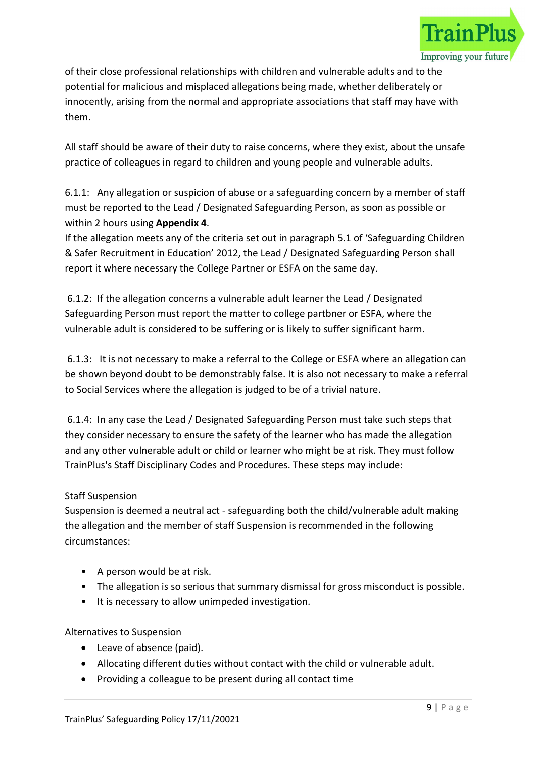

of their close professional relationships with children and vulnerable adults and to the potential for malicious and misplaced allegations being made, whether deliberately or innocently, arising from the normal and appropriate associations that staff may have with them.

All staff should be aware of their duty to raise concerns, where they exist, about the unsafe practice of colleagues in regard to children and young people and vulnerable adults.

6.1.1: Any allegation or suspicion of abuse or a safeguarding concern by a member of staff must be reported to the Lead / Designated Safeguarding Person, as soon as possible or within 2 hours using Appendix 4.

If the allegation meets any of the criteria set out in paragraph 5.1 of 'Safeguarding Children & Safer Recruitment in Education' 2012, the Lead / Designated Safeguarding Person shall report it where necessary the College Partner or ESFA on the same day.

 6.1.2: If the allegation concerns a vulnerable adult learner the Lead / Designated Safeguarding Person must report the matter to college partbner or ESFA, where the vulnerable adult is considered to be suffering or is likely to suffer significant harm.

 6.1.3: It is not necessary to make a referral to the College or ESFA where an allegation can be shown beyond doubt to be demonstrably false. It is also not necessary to make a referral to Social Services where the allegation is judged to be of a trivial nature.

 6.1.4: In any case the Lead / Designated Safeguarding Person must take such steps that they consider necessary to ensure the safety of the learner who has made the allegation and any other vulnerable adult or child or learner who might be at risk. They must follow TrainPlus's Staff Disciplinary Codes and Procedures. These steps may include:

# Staff Suspension

Suspension is deemed a neutral act - safeguarding both the child/vulnerable adult making the allegation and the member of staff Suspension is recommended in the following circumstances:

- A person would be at risk.
- The allegation is so serious that summary dismissal for gross misconduct is possible.
- It is necessary to allow unimpeded investigation.

Alternatives to Suspension

- Leave of absence (paid).
- Allocating different duties without contact with the child or vulnerable adult.
- Providing a colleague to be present during all contact time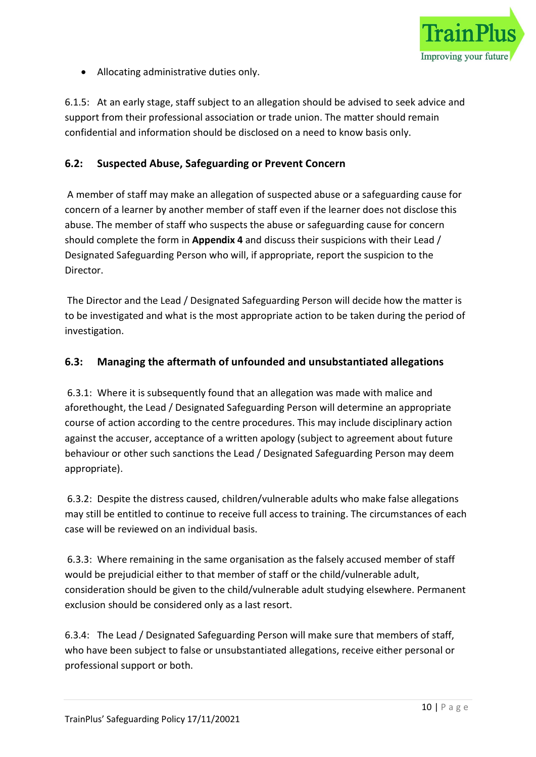

Allocating administrative duties only.

6.1.5: At an early stage, staff subject to an allegation should be advised to seek advice and support from their professional association or trade union. The matter should remain confidential and information should be disclosed on a need to know basis only.

# 6.2: Suspected Abuse, Safeguarding or Prevent Concern

 A member of staff may make an allegation of suspected abuse or a safeguarding cause for concern of a learner by another member of staff even if the learner does not disclose this abuse. The member of staff who suspects the abuse or safeguarding cause for concern should complete the form in Appendix 4 and discuss their suspicions with their Lead / Designated Safeguarding Person who will, if appropriate, report the suspicion to the Director.

 The Director and the Lead / Designated Safeguarding Person will decide how the matter is to be investigated and what is the most appropriate action to be taken during the period of investigation.

# 6.3: Managing the aftermath of unfounded and unsubstantiated allegations

 6.3.1: Where it is subsequently found that an allegation was made with malice and aforethought, the Lead / Designated Safeguarding Person will determine an appropriate course of action according to the centre procedures. This may include disciplinary action against the accuser, acceptance of a written apology (subject to agreement about future behaviour or other such sanctions the Lead / Designated Safeguarding Person may deem appropriate).

 6.3.2: Despite the distress caused, children/vulnerable adults who make false allegations may still be entitled to continue to receive full access to training. The circumstances of each case will be reviewed on an individual basis.

 6.3.3: Where remaining in the same organisation as the falsely accused member of staff would be prejudicial either to that member of staff or the child/vulnerable adult, consideration should be given to the child/vulnerable adult studying elsewhere. Permanent exclusion should be considered only as a last resort.

6.3.4: The Lead / Designated Safeguarding Person will make sure that members of staff, who have been subject to false or unsubstantiated allegations, receive either personal or professional support or both.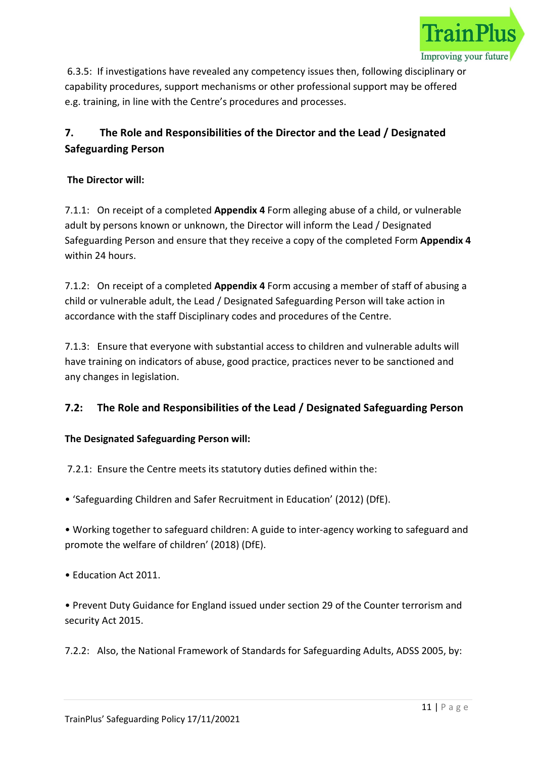

 6.3.5: If investigations have revealed any competency issues then, following disciplinary or capability procedures, support mechanisms or other professional support may be offered e.g. training, in line with the Centre's procedures and processes.

# 7. The Role and Responsibilities of the Director and the Lead / Designated Safeguarding Person

# The Director will:

7.1.1: On receipt of a completed Appendix 4 Form alleging abuse of a child, or vulnerable adult by persons known or unknown, the Director will inform the Lead / Designated Safeguarding Person and ensure that they receive a copy of the completed Form Appendix 4 within 24 hours.

7.1.2: On receipt of a completed Appendix 4 Form accusing a member of staff of abusing a child or vulnerable adult, the Lead / Designated Safeguarding Person will take action in accordance with the staff Disciplinary codes and procedures of the Centre.

7.1.3: Ensure that everyone with substantial access to children and vulnerable adults will have training on indicators of abuse, good practice, practices never to be sanctioned and any changes in legislation.

# 7.2: The Role and Responsibilities of the Lead / Designated Safeguarding Person

# The Designated Safeguarding Person will:

7.2.1: Ensure the Centre meets its statutory duties defined within the:

• 'Safeguarding Children and Safer Recruitment in Education' (2012) (DfE).

• Working together to safeguard children: A guide to inter-agency working to safeguard and promote the welfare of children' (2018) (DfE).

• Education Act 2011.

• Prevent Duty Guidance for England issued under section 29 of the Counter terrorism and security Act 2015.

7.2.2: Also, the National Framework of Standards for Safeguarding Adults, ADSS 2005, by: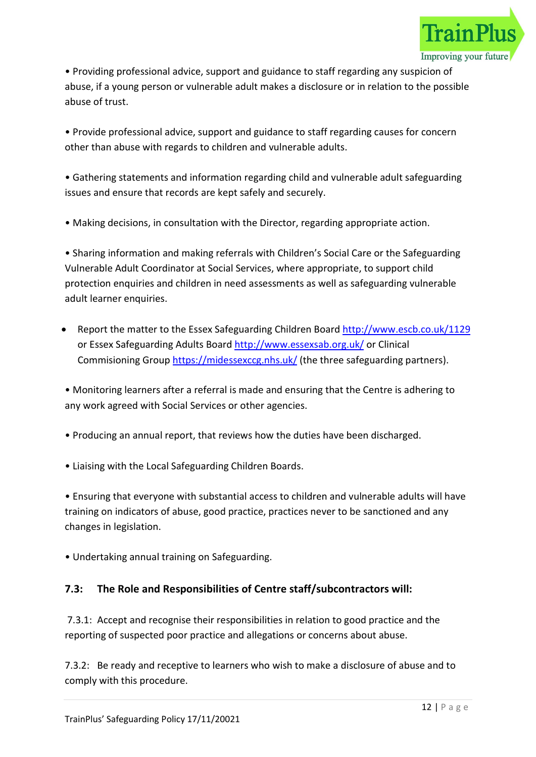

• Providing professional advice, support and guidance to staff regarding any suspicion of abuse, if a young person or vulnerable adult makes a disclosure or in relation to the possible abuse of trust.

• Provide professional advice, support and guidance to staff regarding causes for concern other than abuse with regards to children and vulnerable adults.

• Gathering statements and information regarding child and vulnerable adult safeguarding issues and ensure that records are kept safely and securely.

• Making decisions, in consultation with the Director, regarding appropriate action.

• Sharing information and making referrals with Children's Social Care or the Safeguarding Vulnerable Adult Coordinator at Social Services, where appropriate, to support child protection enquiries and children in need assessments as well as safeguarding vulnerable adult learner enquiries.

 Report the matter to the Essex Safeguarding Children Board http://www.escb.co.uk/1129 or Essex Safeguarding Adults Board http://www.essexsab.org.uk/ or Clinical Commisioning Group https://midessexccg.nhs.uk/ (the three safeguarding partners).

• Monitoring learners after a referral is made and ensuring that the Centre is adhering to any work agreed with Social Services or other agencies.

- Producing an annual report, that reviews how the duties have been discharged.
- Liaising with the Local Safeguarding Children Boards.

• Ensuring that everyone with substantial access to children and vulnerable adults will have training on indicators of abuse, good practice, practices never to be sanctioned and any changes in legislation.

• Undertaking annual training on Safeguarding.

# 7.3: The Role and Responsibilities of Centre staff/subcontractors will:

 7.3.1: Accept and recognise their responsibilities in relation to good practice and the reporting of suspected poor practice and allegations or concerns about abuse.

7.3.2: Be ready and receptive to learners who wish to make a disclosure of abuse and to comply with this procedure.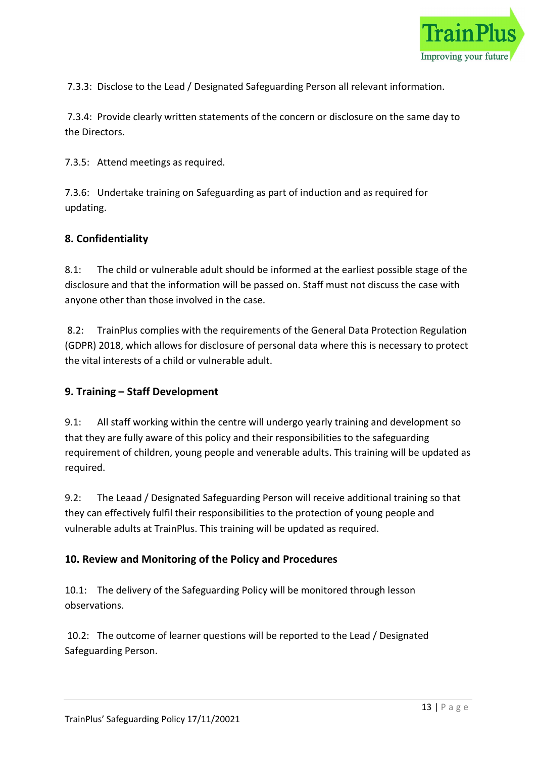

7.3.3: Disclose to the Lead / Designated Safeguarding Person all relevant information.

 7.3.4: Provide clearly written statements of the concern or disclosure on the same day to the Directors.

7.3.5: Attend meetings as required.

7.3.6: Undertake training on Safeguarding as part of induction and as required for updating.

# 8. Confidentiality

8.1: The child or vulnerable adult should be informed at the earliest possible stage of the disclosure and that the information will be passed on. Staff must not discuss the case with anyone other than those involved in the case.

 8.2: TrainPlus complies with the requirements of the General Data Protection Regulation (GDPR) 2018, which allows for disclosure of personal data where this is necessary to protect the vital interests of a child or vulnerable adult.

# 9. Training – Staff Development

9.1: All staff working within the centre will undergo yearly training and development so that they are fully aware of this policy and their responsibilities to the safeguarding requirement of children, young people and venerable adults. This training will be updated as required.

9.2: The Leaad / Designated Safeguarding Person will receive additional training so that they can effectively fulfil their responsibilities to the protection of young people and vulnerable adults at TrainPlus. This training will be updated as required.

# 10. Review and Monitoring of the Policy and Procedures

10.1: The delivery of the Safeguarding Policy will be monitored through lesson observations.

 10.2: The outcome of learner questions will be reported to the Lead / Designated Safeguarding Person.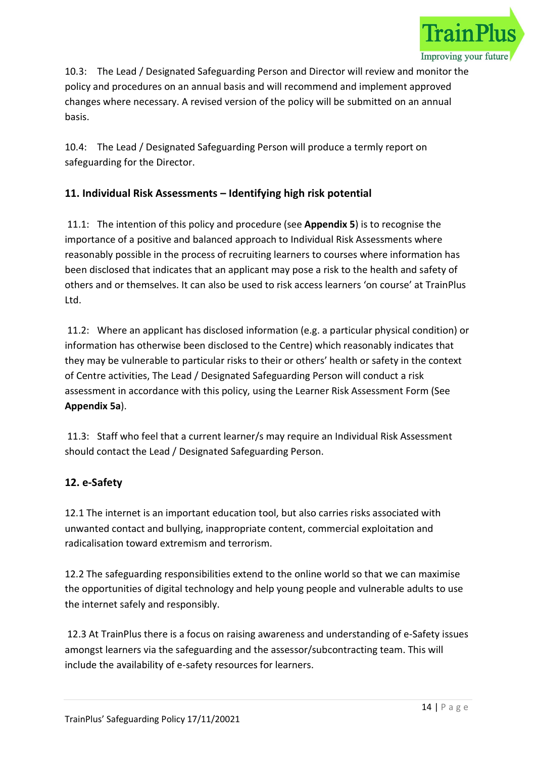

10.3: The Lead / Designated Safeguarding Person and Director will review and monitor the policy and procedures on an annual basis and will recommend and implement approved changes where necessary. A revised version of the policy will be submitted on an annual basis.

10.4: The Lead / Designated Safeguarding Person will produce a termly report on safeguarding for the Director.

# 11. Individual Risk Assessments – Identifying high risk potential

 11.1: The intention of this policy and procedure (see Appendix 5) is to recognise the importance of a positive and balanced approach to Individual Risk Assessments where reasonably possible in the process of recruiting learners to courses where information has been disclosed that indicates that an applicant may pose a risk to the health and safety of others and or themselves. It can also be used to risk access learners 'on course' at TrainPlus Ltd.

 11.2: Where an applicant has disclosed information (e.g. a particular physical condition) or information has otherwise been disclosed to the Centre) which reasonably indicates that they may be vulnerable to particular risks to their or others' health or safety in the context of Centre activities, The Lead / Designated Safeguarding Person will conduct a risk assessment in accordance with this policy, using the Learner Risk Assessment Form (See Appendix 5a).

 11.3: Staff who feel that a current learner/s may require an Individual Risk Assessment should contact the Lead / Designated Safeguarding Person.

# 12. e-Safety

12.1 The internet is an important education tool, but also carries risks associated with unwanted contact and bullying, inappropriate content, commercial exploitation and radicalisation toward extremism and terrorism.

12.2 The safeguarding responsibilities extend to the online world so that we can maximise the opportunities of digital technology and help young people and vulnerable adults to use the internet safely and responsibly.

 12.3 At TrainPlus there is a focus on raising awareness and understanding of e-Safety issues amongst learners via the safeguarding and the assessor/subcontracting team. This will include the availability of e-safety resources for learners.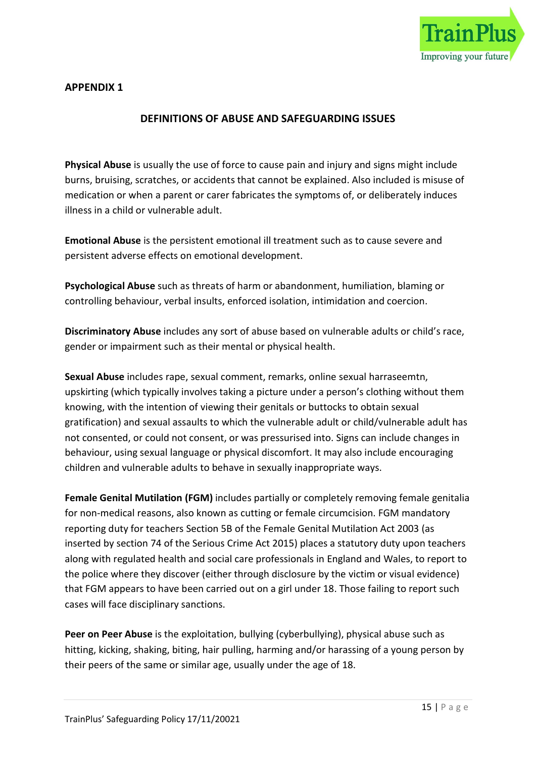

#### DEFINITIONS OF ABUSE AND SAFEGUARDING ISSUES

Physical Abuse is usually the use of force to cause pain and injury and signs might include burns, bruising, scratches, or accidents that cannot be explained. Also included is misuse of medication or when a parent or carer fabricates the symptoms of, or deliberately induces illness in a child or vulnerable adult.

Emotional Abuse is the persistent emotional ill treatment such as to cause severe and persistent adverse effects on emotional development.

Psychological Abuse such as threats of harm or abandonment, humiliation, blaming or controlling behaviour, verbal insults, enforced isolation, intimidation and coercion.

Discriminatory Abuse includes any sort of abuse based on vulnerable adults or child's race, gender or impairment such as their mental or physical health.

Sexual Abuse includes rape, sexual comment, remarks, online sexual harraseemtn, upskirting (which typically involves taking a picture under a person's clothing without them knowing, with the intention of viewing their genitals or buttocks to obtain sexual gratification) and sexual assaults to which the vulnerable adult or child/vulnerable adult has not consented, or could not consent, or was pressurised into. Signs can include changes in behaviour, using sexual language or physical discomfort. It may also include encouraging children and vulnerable adults to behave in sexually inappropriate ways.

Female Genital Mutilation (FGM) includes partially or completely removing female genitalia for non-medical reasons, also known as cutting or female circumcision. FGM mandatory reporting duty for teachers Section 5B of the Female Genital Mutilation Act 2003 (as inserted by section 74 of the Serious Crime Act 2015) places a statutory duty upon teachers along with regulated health and social care professionals in England and Wales, to report to the police where they discover (either through disclosure by the victim or visual evidence) that FGM appears to have been carried out on a girl under 18. Those failing to report such cases will face disciplinary sanctions.

Peer on Peer Abuse is the exploitation, bullying (cyberbullying), physical abuse such as hitting, kicking, shaking, biting, hair pulling, harming and/or harassing of a young person by their peers of the same or similar age, usually under the age of 18.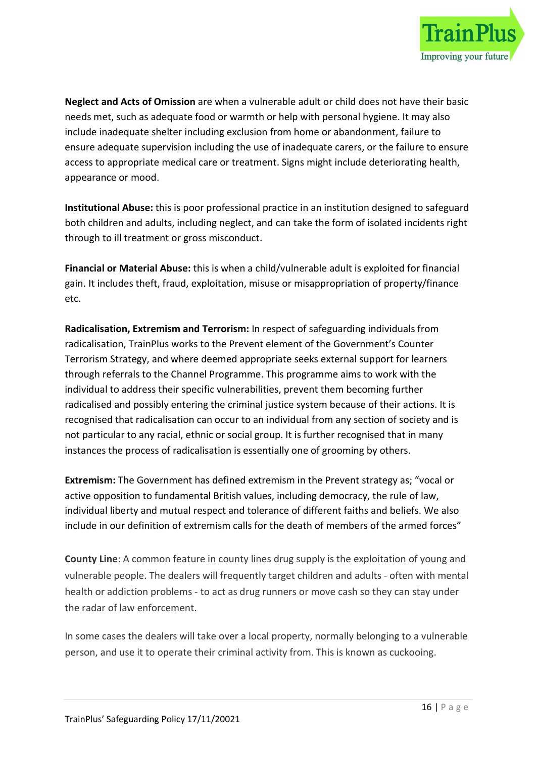

Neglect and Acts of Omission are when a vulnerable adult or child does not have their basic needs met, such as adequate food or warmth or help with personal hygiene. It may also include inadequate shelter including exclusion from home or abandonment, failure to ensure adequate supervision including the use of inadequate carers, or the failure to ensure access to appropriate medical care or treatment. Signs might include deteriorating health, appearance or mood.

Institutional Abuse: this is poor professional practice in an institution designed to safeguard both children and adults, including neglect, and can take the form of isolated incidents right through to ill treatment or gross misconduct.

Financial or Material Abuse: this is when a child/vulnerable adult is exploited for financial gain. It includes theft, fraud, exploitation, misuse or misappropriation of property/finance etc.

Radicalisation, Extremism and Terrorism: In respect of safeguarding individuals from radicalisation, TrainPlus works to the Prevent element of the Government's Counter Terrorism Strategy, and where deemed appropriate seeks external support for learners through referrals to the Channel Programme. This programme aims to work with the individual to address their specific vulnerabilities, prevent them becoming further radicalised and possibly entering the criminal justice system because of their actions. It is recognised that radicalisation can occur to an individual from any section of society and is not particular to any racial, ethnic or social group. It is further recognised that in many instances the process of radicalisation is essentially one of grooming by others.

Extremism: The Government has defined extremism in the Prevent strategy as; "vocal or active opposition to fundamental British values, including democracy, the rule of law, individual liberty and mutual respect and tolerance of different faiths and beliefs. We also include in our definition of extremism calls for the death of members of the armed forces"

County Line: A common feature in county lines drug supply is the exploitation of young and vulnerable people. The dealers will frequently target children and adults - often with mental health or addiction problems - to act as drug runners or move cash so they can stay under the radar of law enforcement.

In some cases the dealers will take over a local property, normally belonging to a vulnerable person, and use it to operate their criminal activity from. This is known as cuckooing.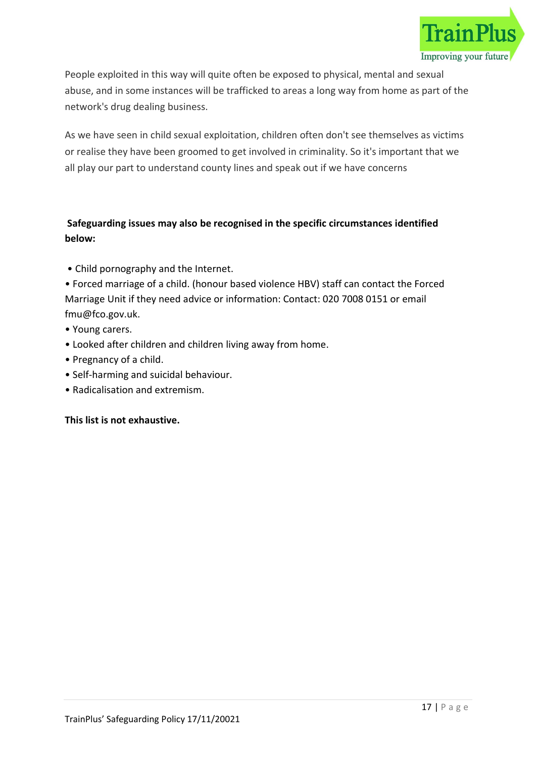

People exploited in this way will quite often be exposed to physical, mental and sexual abuse, and in some instances will be trafficked to areas a long way from home as part of the network's drug dealing business.

As we have seen in child sexual exploitation, children often don't see themselves as victims or realise they have been groomed to get involved in criminality. So it's important that we all play our part to understand county lines and speak out if we have concerns

# Safeguarding issues may also be recognised in the specific circumstances identified below:

- Child pornography and the Internet.
- Forced marriage of a child. (honour based violence HBV) staff can contact the Forced Marriage Unit if they need advice or information: Contact: 020 7008 0151 or email fmu@fco.gov.uk.
- Young carers.
- Looked after children and children living away from home.
- Pregnancy of a child.
- Self-harming and suicidal behaviour.
- Radicalisation and extremism.

# This list is not exhaustive.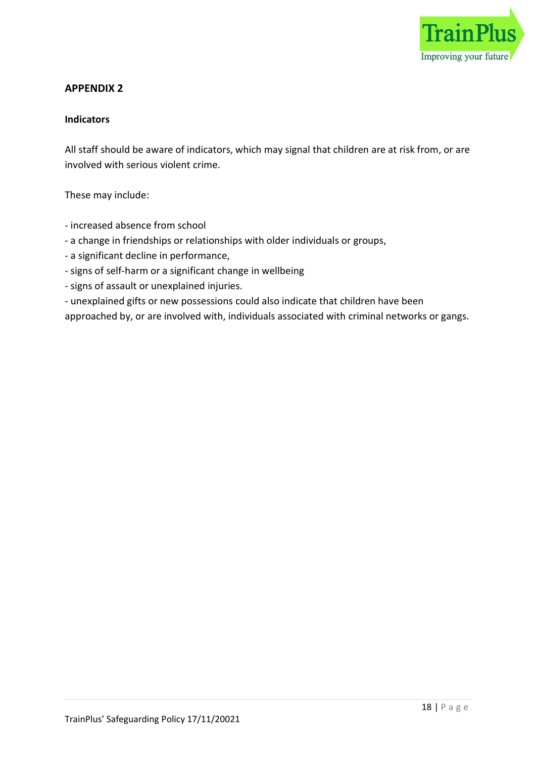

#### Indicators

All staff should be aware of indicators, which may signal that children are at risk from, or are involved with serious violent crime.

These may include:

- increased absence from school
- a change in friendships or relationships with older individuals or groups,
- a significant decline in performance,
- signs of self-harm or a significant change in wellbeing
- signs of assault or unexplained injuries.
- unexplained gifts or new possessions could also indicate that children have been

approached by, or are involved with, individuals associated with criminal networks or gangs.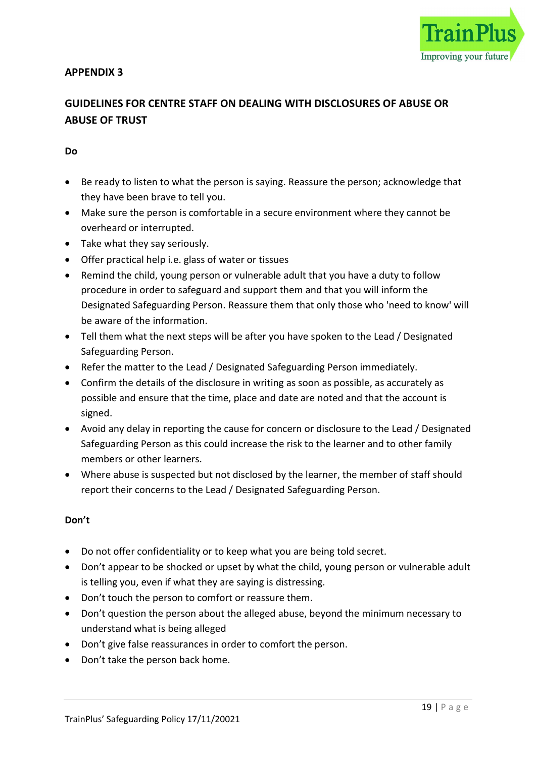

# GUIDELINES FOR CENTRE STAFF ON DEALING WITH DISCLOSURES OF ABUSE OR ABUSE OF TRUST

#### Do

- Be ready to listen to what the person is saying. Reassure the person; acknowledge that they have been brave to tell you.
- Make sure the person is comfortable in a secure environment where they cannot be overheard or interrupted.
- Take what they say seriously.
- Offer practical help i.e. glass of water or tissues
- Remind the child, young person or vulnerable adult that you have a duty to follow procedure in order to safeguard and support them and that you will inform the Designated Safeguarding Person. Reassure them that only those who 'need to know' will be aware of the information.
- Tell them what the next steps will be after you have spoken to the Lead / Designated Safeguarding Person.
- Refer the matter to the Lead / Designated Safeguarding Person immediately.
- Confirm the details of the disclosure in writing as soon as possible, as accurately as possible and ensure that the time, place and date are noted and that the account is signed.
- Avoid any delay in reporting the cause for concern or disclosure to the Lead / Designated Safeguarding Person as this could increase the risk to the learner and to other family members or other learners.
- Where abuse is suspected but not disclosed by the learner, the member of staff should report their concerns to the Lead / Designated Safeguarding Person.

#### Don't

- Do not offer confidentiality or to keep what you are being told secret.
- Don't appear to be shocked or upset by what the child, young person or vulnerable adult is telling you, even if what they are saying is distressing.
- Don't touch the person to comfort or reassure them.
- Don't question the person about the alleged abuse, beyond the minimum necessary to understand what is being alleged
- Don't give false reassurances in order to comfort the person.
- Don't take the person back home.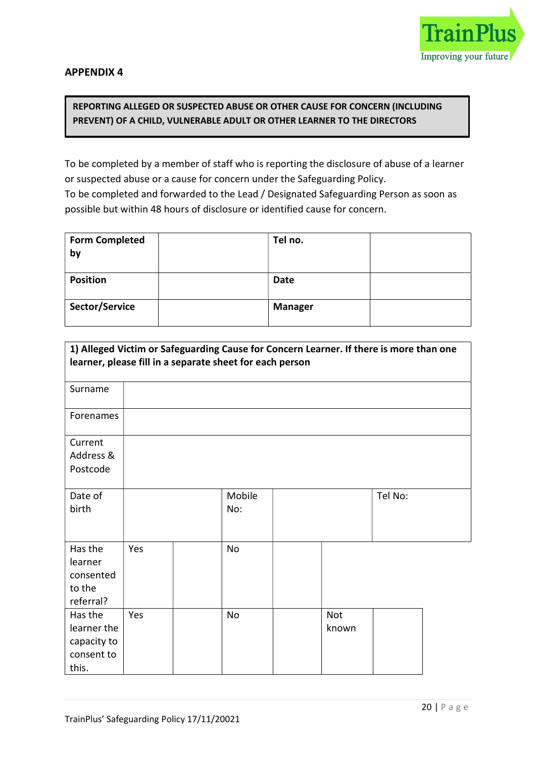

# REPORTING ALLEGED OR SUSPECTED ABUSE OR OTHER CAUSE FOR CONCERN (INCLUDING PREVENT) OF A CHILD, VULNERABLE ADULT OR OTHER LEARNER TO THE DIRECTORS

To be completed by a member of staff who is reporting the disclosure of abuse of a learner or suspected abuse or a cause for concern under the Safeguarding Policy. To be completed and forwarded to the Lead / Designated Safeguarding Person as soon as possible but within 48 hours of disclosure or identified cause for concern.

REPORT FORM

| <b>Form Completed</b><br>by | Tel no.        |  |
|-----------------------------|----------------|--|
| <b>Position</b>             | <b>Date</b>    |  |
| Sector/Service              | <b>Manager</b> |  |

| 1) Alleged Victim or Safeguarding Cause for Concern Learner. If there is more than one<br>learner, please fill in a separate sheet for each person |     |               |              |         |  |
|----------------------------------------------------------------------------------------------------------------------------------------------------|-----|---------------|--------------|---------|--|
| Surname                                                                                                                                            |     |               |              |         |  |
| Forenames                                                                                                                                          |     |               |              |         |  |
| Current<br>Address &<br>Postcode                                                                                                                   |     |               |              |         |  |
| Date of<br>birth                                                                                                                                   |     | Mobile<br>No: |              | Tel No: |  |
| Has the<br>learner<br>consented<br>to the<br>referral?                                                                                             | Yes | No            |              |         |  |
| Has the<br>learner the<br>capacity to<br>consent to<br>this.                                                                                       | Yes | No            | Not<br>known |         |  |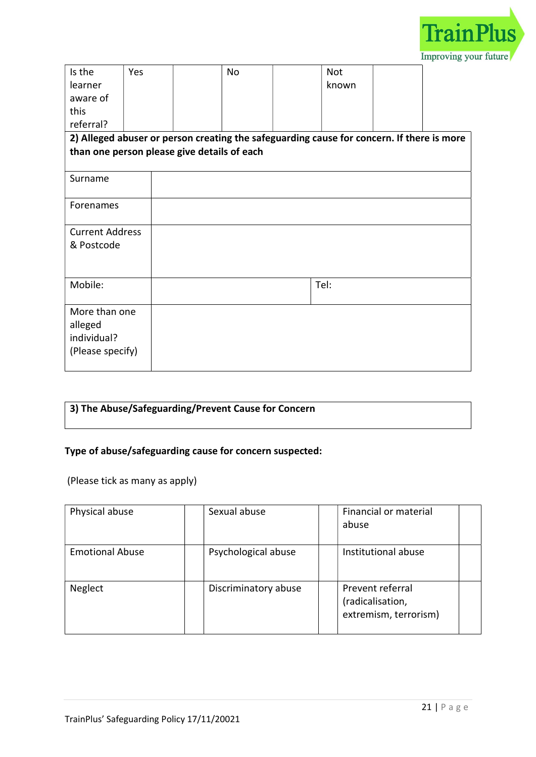

| Is the<br>learner<br>aware of<br>this                       | Yes | <b>No</b> | <b>Not</b><br>known                                                                       |  |
|-------------------------------------------------------------|-----|-----------|-------------------------------------------------------------------------------------------|--|
| referral?                                                   |     |           |                                                                                           |  |
| than one person please give details of each                 |     |           | 2) Alleged abuser or person creating the safeguarding cause for concern. If there is more |  |
|                                                             |     |           |                                                                                           |  |
| Surname                                                     |     |           |                                                                                           |  |
| Forenames                                                   |     |           |                                                                                           |  |
| <b>Current Address</b>                                      |     |           |                                                                                           |  |
| & Postcode                                                  |     |           |                                                                                           |  |
| Mobile:                                                     |     |           | Tel:                                                                                      |  |
| More than one<br>alleged<br>individual?<br>(Please specify) |     |           |                                                                                           |  |

# 3) The Abuse/Safeguarding/Prevent Cause for Concern

# Type of abuse/safeguarding cause for concern suspected:

(Please tick as many as apply)

| Physical abuse         | Sexual abuse         | Financial or material<br>abuse                                |  |
|------------------------|----------------------|---------------------------------------------------------------|--|
| <b>Emotional Abuse</b> | Psychological abuse  | Institutional abuse                                           |  |
| Neglect                | Discriminatory abuse | Prevent referral<br>(radicalisation,<br>extremism, terrorism) |  |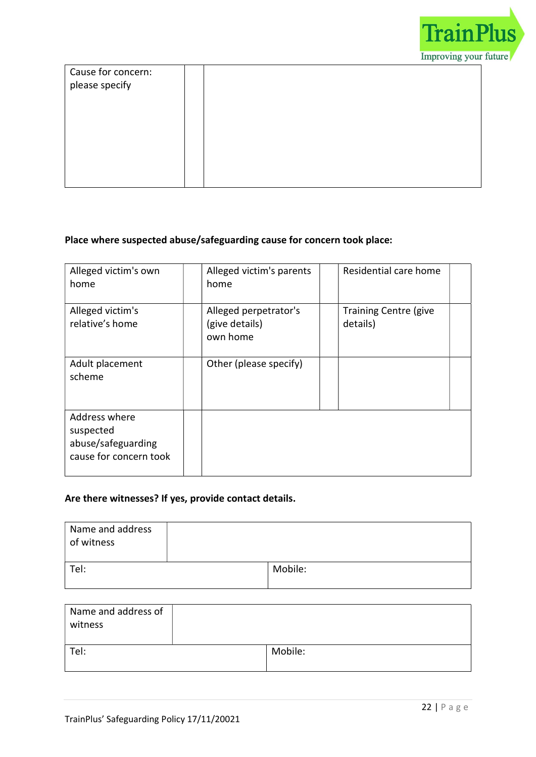

| Cause for concern: |  |  |
|--------------------|--|--|
| please specify     |  |  |
|                    |  |  |
|                    |  |  |
|                    |  |  |
|                    |  |  |
|                    |  |  |
|                    |  |  |
|                    |  |  |

# Place where suspected abuse/safeguarding cause for concern took place:

| Alleged victim's own<br>home                                               | Alleged victim's parents<br>home                    | Residential care home                    |  |
|----------------------------------------------------------------------------|-----------------------------------------------------|------------------------------------------|--|
| Alleged victim's<br>relative's home                                        | Alleged perpetrator's<br>(give details)<br>own home | <b>Training Centre (give</b><br>details) |  |
| Adult placement<br>scheme                                                  | Other (please specify)                              |                                          |  |
| Address where<br>suspected<br>abuse/safeguarding<br>cause for concern took |                                                     |                                          |  |

# Are there witnesses? If yes, provide contact details.

| Name and address<br>of witness |         |
|--------------------------------|---------|
| Tel:                           | Mobile: |

| Name and address of<br>witness |         |
|--------------------------------|---------|
| Tel:                           | Mobile: |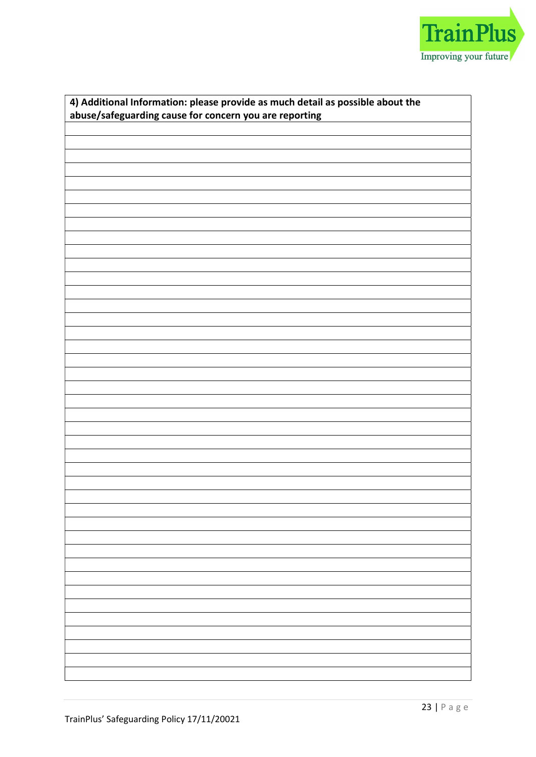

| 4) Additional Information: please provide as much detail as possible about the<br>abuse/safeguarding cause for concern you are reporting |  |  |  |  |
|------------------------------------------------------------------------------------------------------------------------------------------|--|--|--|--|
|                                                                                                                                          |  |  |  |  |
|                                                                                                                                          |  |  |  |  |
|                                                                                                                                          |  |  |  |  |
|                                                                                                                                          |  |  |  |  |
|                                                                                                                                          |  |  |  |  |
|                                                                                                                                          |  |  |  |  |
|                                                                                                                                          |  |  |  |  |
|                                                                                                                                          |  |  |  |  |
|                                                                                                                                          |  |  |  |  |
|                                                                                                                                          |  |  |  |  |
|                                                                                                                                          |  |  |  |  |
|                                                                                                                                          |  |  |  |  |
|                                                                                                                                          |  |  |  |  |
|                                                                                                                                          |  |  |  |  |
|                                                                                                                                          |  |  |  |  |
|                                                                                                                                          |  |  |  |  |
|                                                                                                                                          |  |  |  |  |
|                                                                                                                                          |  |  |  |  |
|                                                                                                                                          |  |  |  |  |
|                                                                                                                                          |  |  |  |  |
|                                                                                                                                          |  |  |  |  |
|                                                                                                                                          |  |  |  |  |
|                                                                                                                                          |  |  |  |  |
|                                                                                                                                          |  |  |  |  |
|                                                                                                                                          |  |  |  |  |
|                                                                                                                                          |  |  |  |  |
|                                                                                                                                          |  |  |  |  |
|                                                                                                                                          |  |  |  |  |
|                                                                                                                                          |  |  |  |  |
|                                                                                                                                          |  |  |  |  |
|                                                                                                                                          |  |  |  |  |
|                                                                                                                                          |  |  |  |  |
|                                                                                                                                          |  |  |  |  |
|                                                                                                                                          |  |  |  |  |
|                                                                                                                                          |  |  |  |  |
|                                                                                                                                          |  |  |  |  |
|                                                                                                                                          |  |  |  |  |
|                                                                                                                                          |  |  |  |  |
|                                                                                                                                          |  |  |  |  |
|                                                                                                                                          |  |  |  |  |
|                                                                                                                                          |  |  |  |  |
|                                                                                                                                          |  |  |  |  |
|                                                                                                                                          |  |  |  |  |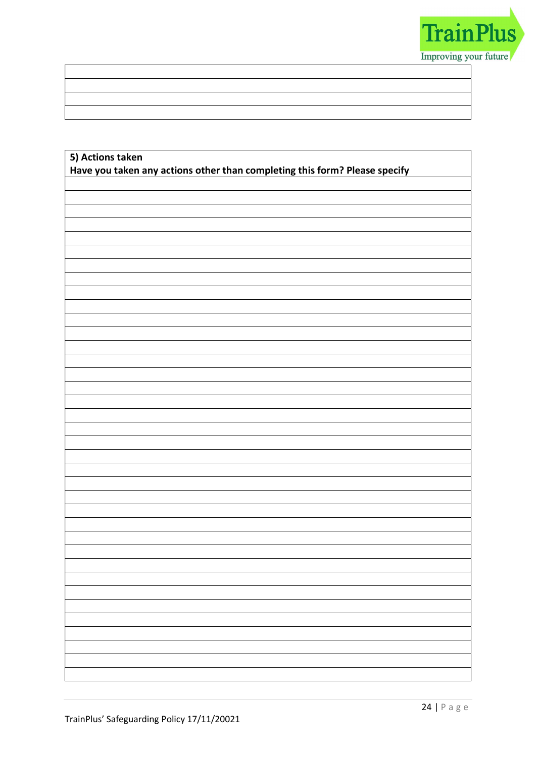

| 5) Actions taken                                                           |
|----------------------------------------------------------------------------|
| Have you taken any actions other than completing this form? Please specify |
|                                                                            |
|                                                                            |
|                                                                            |
|                                                                            |
|                                                                            |
|                                                                            |
|                                                                            |
|                                                                            |
|                                                                            |
|                                                                            |
|                                                                            |
|                                                                            |
|                                                                            |
|                                                                            |
|                                                                            |
|                                                                            |
|                                                                            |
|                                                                            |
|                                                                            |
|                                                                            |
|                                                                            |
|                                                                            |
|                                                                            |
|                                                                            |
|                                                                            |
|                                                                            |
|                                                                            |
|                                                                            |
|                                                                            |
|                                                                            |
|                                                                            |
|                                                                            |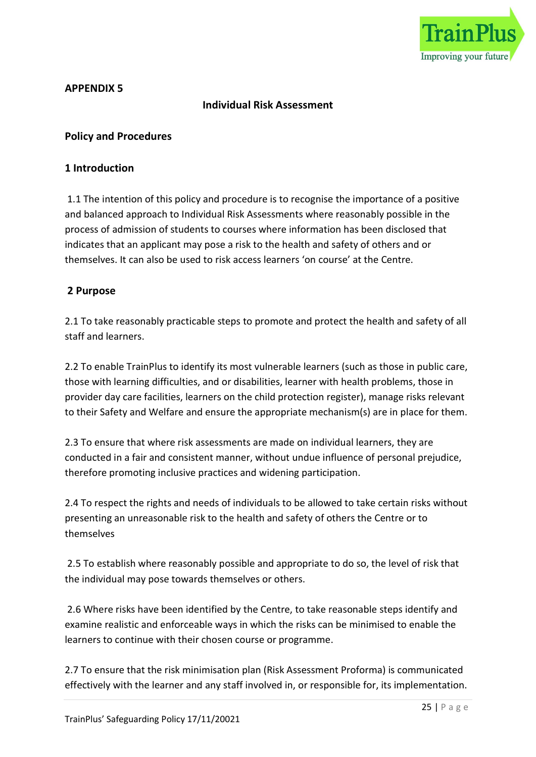

# Individual Risk Assessment

#### Policy and Procedures

#### 1 Introduction

 1.1 The intention of this policy and procedure is to recognise the importance of a positive and balanced approach to Individual Risk Assessments where reasonably possible in the process of admission of students to courses where information has been disclosed that indicates that an applicant may pose a risk to the health and safety of others and or themselves. It can also be used to risk access learners 'on course' at the Centre.

#### 2 Purpose

2.1 To take reasonably practicable steps to promote and protect the health and safety of all staff and learners.

2.2 To enable TrainPlus to identify its most vulnerable learners (such as those in public care, those with learning difficulties, and or disabilities, learner with health problems, those in provider day care facilities, learners on the child protection register), manage risks relevant to their Safety and Welfare and ensure the appropriate mechanism(s) are in place for them.

2.3 To ensure that where risk assessments are made on individual learners, they are conducted in a fair and consistent manner, without undue influence of personal prejudice, therefore promoting inclusive practices and widening participation.

2.4 To respect the rights and needs of individuals to be allowed to take certain risks without presenting an unreasonable risk to the health and safety of others the Centre or to themselves

 2.5 To establish where reasonably possible and appropriate to do so, the level of risk that the individual may pose towards themselves or others.

 2.6 Where risks have been identified by the Centre, to take reasonable steps identify and examine realistic and enforceable ways in which the risks can be minimised to enable the learners to continue with their chosen course or programme.

2.7 To ensure that the risk minimisation plan (Risk Assessment Proforma) is communicated effectively with the learner and any staff involved in, or responsible for, its implementation.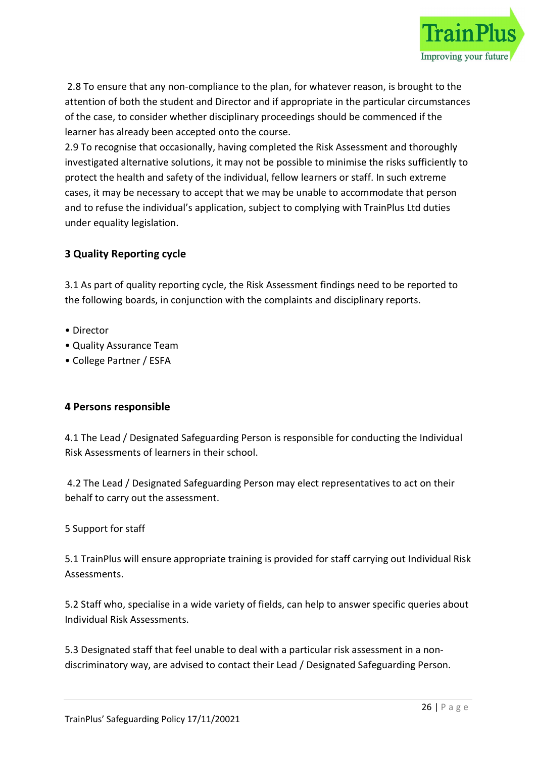

 2.8 To ensure that any non-compliance to the plan, for whatever reason, is brought to the attention of both the student and Director and if appropriate in the particular circumstances of the case, to consider whether disciplinary proceedings should be commenced if the learner has already been accepted onto the course.

2.9 To recognise that occasionally, having completed the Risk Assessment and thoroughly investigated alternative solutions, it may not be possible to minimise the risks sufficiently to protect the health and safety of the individual, fellow learners or staff. In such extreme cases, it may be necessary to accept that we may be unable to accommodate that person and to refuse the individual's application, subject to complying with TrainPlus Ltd duties under equality legislation.

# 3 Quality Reporting cycle

3.1 As part of quality reporting cycle, the Risk Assessment findings need to be reported to the following boards, in conjunction with the complaints and disciplinary reports.

- Director
- Quality Assurance Team
- College Partner / ESFA

# 4 Persons responsible

4.1 The Lead / Designated Safeguarding Person is responsible for conducting the Individual Risk Assessments of learners in their school.

 4.2 The Lead / Designated Safeguarding Person may elect representatives to act on their behalf to carry out the assessment.

# 5 Support for staff

5.1 TrainPlus will ensure appropriate training is provided for staff carrying out Individual Risk Assessments.

5.2 Staff who, specialise in a wide variety of fields, can help to answer specific queries about Individual Risk Assessments.

5.3 Designated staff that feel unable to deal with a particular risk assessment in a nondiscriminatory way, are advised to contact their Lead / Designated Safeguarding Person.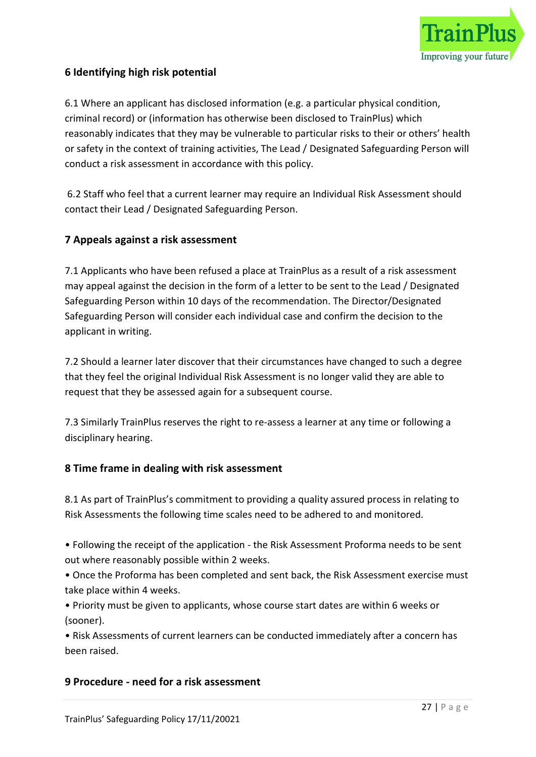

# 6 Identifying high risk potential

6.1 Where an applicant has disclosed information (e.g. a particular physical condition, criminal record) or (information has otherwise been disclosed to TrainPlus) which reasonably indicates that they may be vulnerable to particular risks to their or others' health or safety in the context of training activities, The Lead / Designated Safeguarding Person will conduct a risk assessment in accordance with this policy.

 6.2 Staff who feel that a current learner may require an Individual Risk Assessment should contact their Lead / Designated Safeguarding Person.

#### 7 Appeals against a risk assessment

7.1 Applicants who have been refused a place at TrainPlus as a result of a risk assessment may appeal against the decision in the form of a letter to be sent to the Lead / Designated Safeguarding Person within 10 days of the recommendation. The Director/Designated Safeguarding Person will consider each individual case and confirm the decision to the applicant in writing.

7.2 Should a learner later discover that their circumstances have changed to such a degree that they feel the original Individual Risk Assessment is no longer valid they are able to request that they be assessed again for a subsequent course.

7.3 Similarly TrainPlus reserves the right to re-assess a learner at any time or following a disciplinary hearing.

# 8 Time frame in dealing with risk assessment

8.1 As part of TrainPlus's commitment to providing a quality assured process in relating to Risk Assessments the following time scales need to be adhered to and monitored.

• Following the receipt of the application - the Risk Assessment Proforma needs to be sent out where reasonably possible within 2 weeks.

• Once the Proforma has been completed and sent back, the Risk Assessment exercise must take place within 4 weeks.

• Priority must be given to applicants, whose course start dates are within 6 weeks or (sooner).

• Risk Assessments of current learners can be conducted immediately after a concern has been raised.

#### 9 Procedure - need for a risk assessment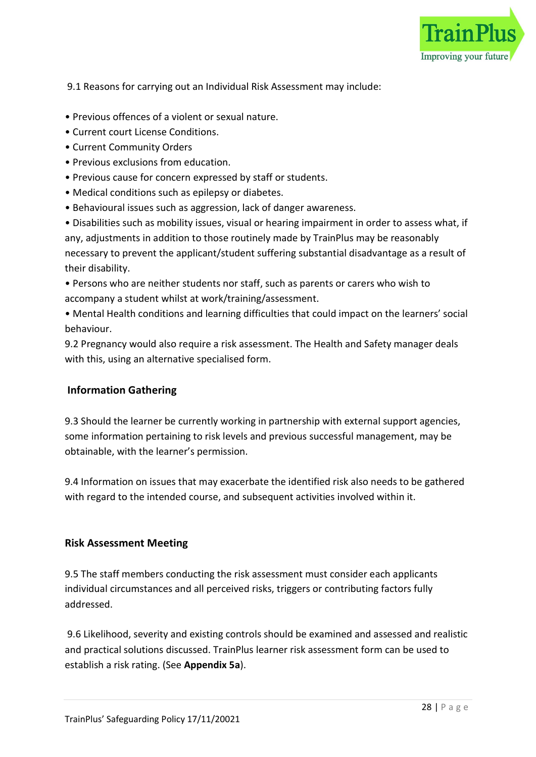

9.1 Reasons for carrying out an Individual Risk Assessment may include:

- Previous offences of a violent or sexual nature.
- Current court License Conditions.
- Current Community Orders
- Previous exclusions from education.
- Previous cause for concern expressed by staff or students.
- Medical conditions such as epilepsy or diabetes.
- Behavioural issues such as aggression, lack of danger awareness.

• Disabilities such as mobility issues, visual or hearing impairment in order to assess what, if any, adjustments in addition to those routinely made by TrainPlus may be reasonably necessary to prevent the applicant/student suffering substantial disadvantage as a result of their disability.

• Persons who are neither students nor staff, such as parents or carers who wish to accompany a student whilst at work/training/assessment.

• Mental Health conditions and learning difficulties that could impact on the learners' social behaviour.

9.2 Pregnancy would also require a risk assessment. The Health and Safety manager deals with this, using an alternative specialised form.

#### Information Gathering

9.3 Should the learner be currently working in partnership with external support agencies, some information pertaining to risk levels and previous successful management, may be obtainable, with the learner's permission.

9.4 Information on issues that may exacerbate the identified risk also needs to be gathered with regard to the intended course, and subsequent activities involved within it.

#### Risk Assessment Meeting

9.5 The staff members conducting the risk assessment must consider each applicants individual circumstances and all perceived risks, triggers or contributing factors fully addressed.

 9.6 Likelihood, severity and existing controls should be examined and assessed and realistic and practical solutions discussed. TrainPlus learner risk assessment form can be used to establish a risk rating. (See Appendix 5a).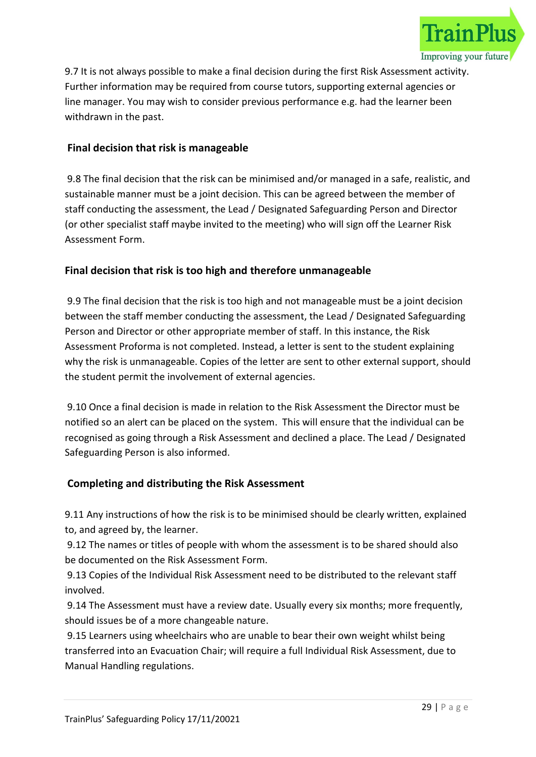

9.7 It is not always possible to make a final decision during the first Risk Assessment activity. Further information may be required from course tutors, supporting external agencies or line manager. You may wish to consider previous performance e.g. had the learner been withdrawn in the past.

# Final decision that risk is manageable

 9.8 The final decision that the risk can be minimised and/or managed in a safe, realistic, and sustainable manner must be a joint decision. This can be agreed between the member of staff conducting the assessment, the Lead / Designated Safeguarding Person and Director (or other specialist staff maybe invited to the meeting) who will sign off the Learner Risk Assessment Form.

# Final decision that risk is too high and therefore unmanageable

 9.9 The final decision that the risk is too high and not manageable must be a joint decision between the staff member conducting the assessment, the Lead / Designated Safeguarding Person and Director or other appropriate member of staff. In this instance, the Risk Assessment Proforma is not completed. Instead, a letter is sent to the student explaining why the risk is unmanageable. Copies of the letter are sent to other external support, should the student permit the involvement of external agencies.

 9.10 Once a final decision is made in relation to the Risk Assessment the Director must be notified so an alert can be placed on the system. This will ensure that the individual can be recognised as going through a Risk Assessment and declined a place. The Lead / Designated Safeguarding Person is also informed.

# Completing and distributing the Risk Assessment

9.11 Any instructions of how the risk is to be minimised should be clearly written, explained to, and agreed by, the learner.

 9.12 The names or titles of people with whom the assessment is to be shared should also be documented on the Risk Assessment Form.

 9.13 Copies of the Individual Risk Assessment need to be distributed to the relevant staff involved.

 9.14 The Assessment must have a review date. Usually every six months; more frequently, should issues be of a more changeable nature.

 9.15 Learners using wheelchairs who are unable to bear their own weight whilst being transferred into an Evacuation Chair; will require a full Individual Risk Assessment, due to Manual Handling regulations.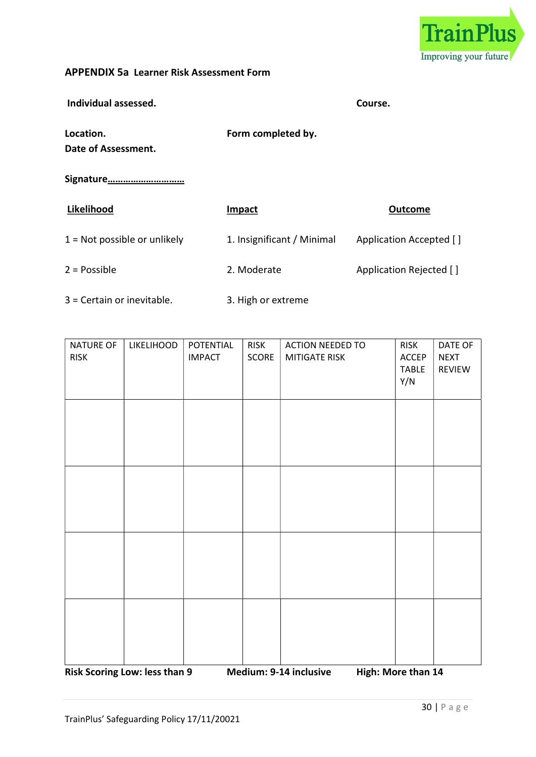

#### APPENDIX 5a Learner Risk Assessment Form

 Individual assessed. Course. Location. The completed by the set of the Form completed by. Date of Assessment. Signature………………………… Likelihood **Impact Impact Impact Outcome** 1 = Not possible or unlikely 1. Insignificant / Minimal Application Accepted [] 2 = Possible 2. Moderate 2. Moderate Application Rejected [ ] 3 = Certain or inevitable. 3. High or extreme

| NATURE OF<br><b>RISK</b> | LIKELIHOOD | POTENTIAL<br><b>IMPACT</b> | <b>RISK</b><br>SCORE | <b>ACTION NEEDED TO</b><br>MITIGATE RISK | <b>RISK</b><br>ACCEP<br><b>TABLE</b><br>Y/N | DATE OF<br><b>NEXT</b><br>REVIEW |
|--------------------------|------------|----------------------------|----------------------|------------------------------------------|---------------------------------------------|----------------------------------|
|                          |            |                            |                      |                                          |                                             |                                  |
|                          |            |                            |                      |                                          |                                             |                                  |
|                          |            |                            |                      |                                          |                                             |                                  |
|                          |            |                            |                      |                                          |                                             |                                  |

Risk Scoring Low: less than 9 Medium: 9-14 inclusive High: More than 14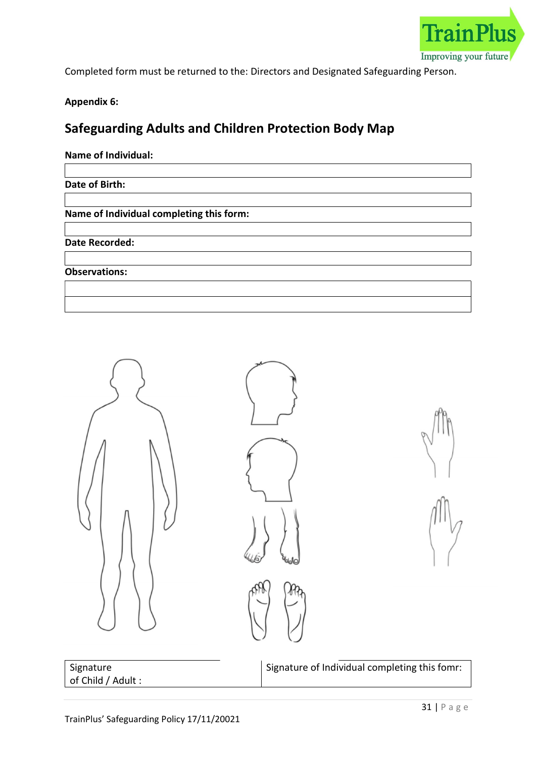

Completed form must be returned to the: Directors and Designated Safeguarding Person.

Appendix 6:

# Safeguarding Adults and Children Protection Body Map

# Name of Individual:

Date of Birth:

Name of Individual completing this form:

Date Recorded:

Observations:



| Signature          |  |
|--------------------|--|
| of Child / Adult : |  |

Signature of Individual completing this fomr: